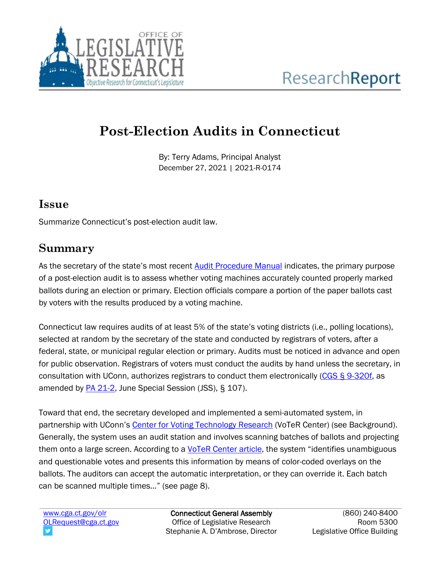

# **Post-Election Audits in Connecticut**

By: Terry Adams, Principal Analyst December 27, 2021 | 2021-R-0174

#### **Issue**

Summarize Connecticut's post-election audit law.

# **Summary**

As the secretary of the state's most recent **[Audit Procedure Manual](https://portal.ct.gov/-/media/SOTS/ElectionServices/Handbooks/Audit-Process-Final.docx)** indicates, the primary purpose of a post-election audit is to assess whether voting machines accurately counted properly marked ballots during an election or primary. Election officials compare a portion of the paper ballots cast by voters with the results produced by a voting machine.

Connecticut law requires audits of at least 5% of the state's voting districts (i.e., polling locations), selected at random by the secretary of the state and conducted by registrars of voters, after a federal, state, or municipal regular election or primary. Audits must be noticed in advance and open for public observation. Registrars of voters must conduct the audits by hand unless the secretary, in consultation with UConn, authorizes registrars to conduct them electronically [\(CGS § 9-320f,](https://www.cga.ct.gov/current/pub/chap_148.htm#sec_9-320f) as amended by [PA 21-2,](https://www.cga.ct.gov/asp/cgabillstatus/cgabillstatus.asp?selBillType=Bill&which_year=2021&bill_num=1202) June Special Session (JSS), § 107).

Toward that end, the secretary developed and implemented a semi-automated system, in partnership with UConn's [Center for Voting Technology Research](https://voter.engr.uconn.edu/voter/) (VoTeR Center) (see Background). Generally, the system uses an audit station and involves scanning batches of ballots and projecting them onto a large screen. According to a [VoTeR Center article,](https://voter.engr.uconn.edu/voter/wp-content/uploads/AS-2013.pdf) the system "identifies unambiguous and questionable votes and presents this information by means of color-coded overlays on the ballots. The auditors can accept the automatic interpretation, or they can override it. Each batch can be scanned multiple times…" (see page 8).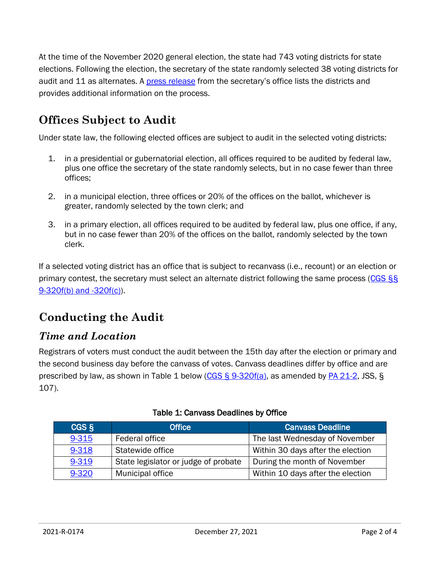At the time of the November 2020 general election, the state had 743 voting districts for state elections. Following the election, the secretary of the state randomly selected 38 voting districts for audit and 11 as alternates. A [press release](https://portal.ct.gov/SOTS/Press-Releases/2020-Press-Releases/General-Election-Results-to-be-Audited-at-Selected-Polling-Locations) from the secretary's office lists the districts and provides additional information on the process.

# **Offices Subject to Audit**

Under state law, the following elected offices are subject to audit in the selected voting districts:

- 1. in a presidential or gubernatorial election, all offices required to be audited by federal law, plus one office the secretary of the state randomly selects, but in no case fewer than three offices;
- 2. in a municipal election, three offices or 20% of the offices on the ballot, whichever is greater, randomly selected by the town clerk; and
- 3. in a primary election, all offices required to be audited by federal law, plus one office, if any, but in no case fewer than 20% of the offices on the ballot, randomly selected by the town clerk.

If a selected voting district has an office that is subject to recanvass (i.e., recount) or an election or primary contest, the secretary must select an alternate district following the same process [\(CGS §§](https://www.cga.ct.gov/current/pub/chap_148.htm#sec_9-320f)  [9-320f\(b\) and -320f\(c\)\)](https://www.cga.ct.gov/current/pub/chap_148.htm#sec_9-320f).

# **Conducting the Audit**

#### *Time and Location*

Registrars of voters must conduct the audit between the 15th day after the election or primary and the second business day before the canvass of votes. Canvass deadlines differ by office and are prescribed by law, as shown in Table 1 below (CGS  $\S$  9-320f(a), as amended by [PA 21-2,](https://www.cga.ct.gov/asp/cgabillstatus/cgabillstatus.asp?selBillType=Bill&which_year=2021&bill_num=1202) JSS,  $\S$ 107).

| CGS § | <b>Office</b>                        | <b>Canvass Deadline</b>           |
|-------|--------------------------------------|-----------------------------------|
| 9-315 | Federal office                       | The last Wednesday of November    |
| 9-318 | Statewide office                     | Within 30 days after the election |
| 9-319 | State legislator or judge of probate | During the month of November      |
| 9-320 | <b>Municipal office</b>              | Within 10 days after the election |

#### Table 1: Canvass Deadlines by Office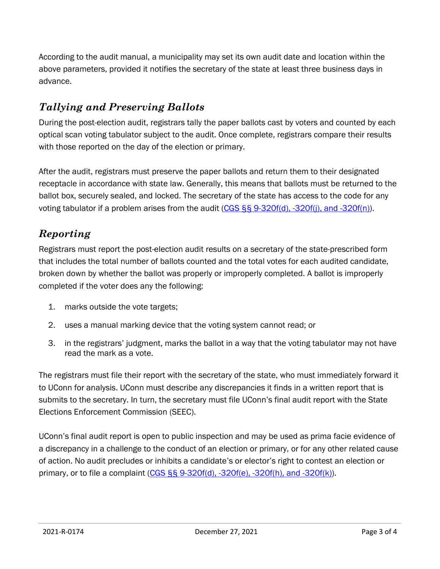According to the audit manual, a municipality may set its own audit date and location within the above parameters, provided it notifies the secretary of the state at least three business days in advance.

#### *Tallying and Preserving Ballots*

During the post-election audit, registrars tally the paper ballots cast by voters and counted by each optical scan voting tabulator subject to the audit. Once complete, registrars compare their results with those reported on the day of the election or primary.

After the audit, registrars must preserve the paper ballots and return them to their designated receptacle in accordance with state law. Generally, this means that ballots must be returned to the ballot box, securely sealed, and locked. The secretary of the state has access to the code for any voting tabulator if a problem arises from the audit  $(CGS S S 9-320f(d), -320f(i),$  and  $-320f(n)$ ).

### *Reporting*

Registrars must report the post-election audit results on a secretary of the state-prescribed form that includes the total number of ballots counted and the total votes for each audited candidate, broken down by whether the ballot was properly or improperly completed. A ballot is improperly completed if the voter does any the following:

- 1. marks outside the vote targets;
- 2. uses a manual marking device that the voting system cannot read; or
- 3. in the registrars' judgment, marks the ballot in a way that the voting tabulator may not have read the mark as a vote.

The registrars must file their report with the secretary of the state, who must immediately forward it to UConn for analysis. UConn must describe any discrepancies it finds in a written report that is submits to the secretary. In turn, the secretary must file UConn's final audit report with the State Elections Enforcement Commission (SEEC).

UConn's final audit report is open to public inspection and may be used as prima facie evidence of a discrepancy in a challenge to the conduct of an election or primary, or for any other related cause of action. No audit precludes or inhibits a candidate's or elector's right to contest an election or primary, or to file a complaint  $(CGS SS 9-320f(d), -320f(e), -320f(h),$  and  $-320f(k)).$